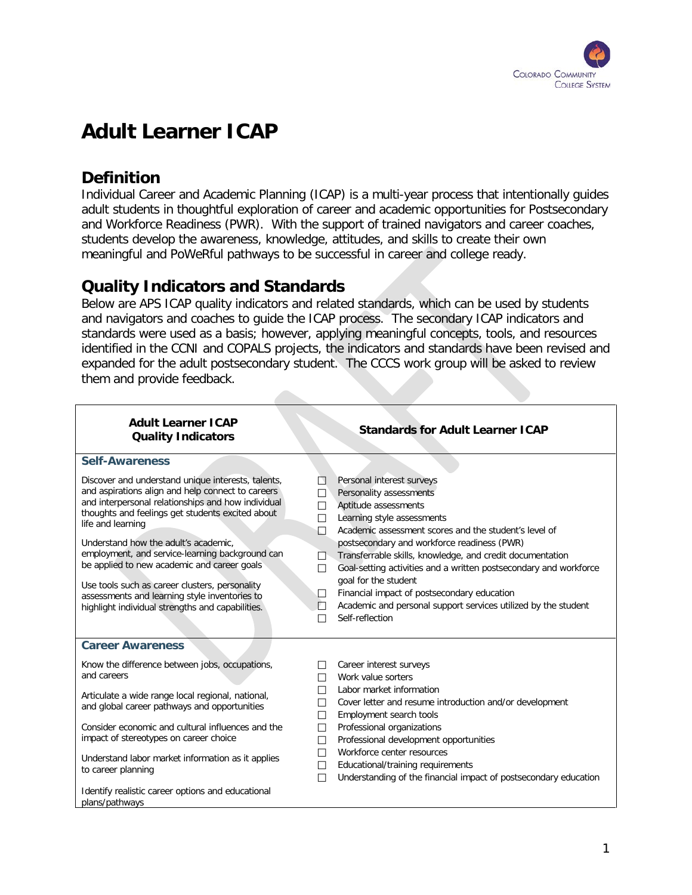

# **Adult Learner ICAP**

## **Definition**

Individual Career and Academic Planning (ICAP) is a multi-year process that intentionally guides adult students in thoughtful exploration of career and academic opportunities for Postsecondary and Workforce Readiness (PWR). With the support of trained navigators and career coaches, students develop the awareness, knowledge, attitudes, and skills to create their own meaningful and PoWeRful pathways to be successful in career and college ready.

### **Quality Indicators and Standards**

Below are APS ICAP quality indicators and related standards, which can be used by students and navigators and coaches to guide the ICAP process. The secondary ICAP indicators and standards were used as a basis; however, applying meaningful concepts, tools, and resources identified in the CCNI and COPALS projects, the indicators and standards have been revised and expanded for the adult postsecondary student. The CCCS work group will be asked to review them and provide feedback.

| <b>Adult Learner ICAP</b><br><b>Quality Indicators</b>                                                                                                                                                                                                                                                                                                                                                                                                                                                                                  | <b>Standards for Adult Learner ICAP</b>                                                                                                                                                                                                                                                                                                                                                                                                                                                                                                                       |
|-----------------------------------------------------------------------------------------------------------------------------------------------------------------------------------------------------------------------------------------------------------------------------------------------------------------------------------------------------------------------------------------------------------------------------------------------------------------------------------------------------------------------------------------|---------------------------------------------------------------------------------------------------------------------------------------------------------------------------------------------------------------------------------------------------------------------------------------------------------------------------------------------------------------------------------------------------------------------------------------------------------------------------------------------------------------------------------------------------------------|
| <b>Self-Awareness</b>                                                                                                                                                                                                                                                                                                                                                                                                                                                                                                                   |                                                                                                                                                                                                                                                                                                                                                                                                                                                                                                                                                               |
| Discover and understand unique interests, talents,<br>and aspirations align and help connect to careers<br>and interpersonal relationships and how individual<br>thoughts and feelings get students excited about<br>life and learning<br>Understand how the adult's academic,<br>employment, and service-learning background can<br>be applied to new academic and career goals<br>Use tools such as career clusters, personality<br>assessments and learning style inventories to<br>highlight individual strengths and capabilities. | Personal interest surveys<br>П<br>Personality assessments<br>П<br>Aptitude assessments<br>□<br>Learning style assessments<br>П<br>Academic assessment scores and the student's level of<br>П<br>postsecondary and workforce readiness (PWR)<br>Transferrable skills, knowledge, and credit documentation<br>П<br>Goal-setting activities and a written postsecondary and workforce<br>П<br>goal for the student<br>Financial impact of postsecondary education<br>□<br>Academic and personal support services utilized by the student<br>П<br>Self-reflection |
| <b>Career Awareness</b>                                                                                                                                                                                                                                                                                                                                                                                                                                                                                                                 |                                                                                                                                                                                                                                                                                                                                                                                                                                                                                                                                                               |
| Know the difference between jobs, occupations,<br>and careers<br>Articulate a wide range local regional, national,<br>and global career pathways and opportunities<br>Consider economic and cultural influences and the<br>impact of stereotypes on career choice<br>Understand labor market information as it applies<br>to career planning                                                                                                                                                                                            | Career interest surveys<br>Work value sorters<br>$\mathsf{L}$<br>Labor market information<br>П<br>Cover letter and resume introduction and/or development<br>П<br>П<br>Employment search tools<br>Professional organizations<br>П<br>Professional development opportunities<br>П<br>Workforce center resources<br>П<br>Educational/training requirements<br>П<br>Understanding of the financial impact of postsecondary education<br>П                                                                                                                        |
| Identify realistic career options and educational<br>plans/pathways                                                                                                                                                                                                                                                                                                                                                                                                                                                                     |                                                                                                                                                                                                                                                                                                                                                                                                                                                                                                                                                               |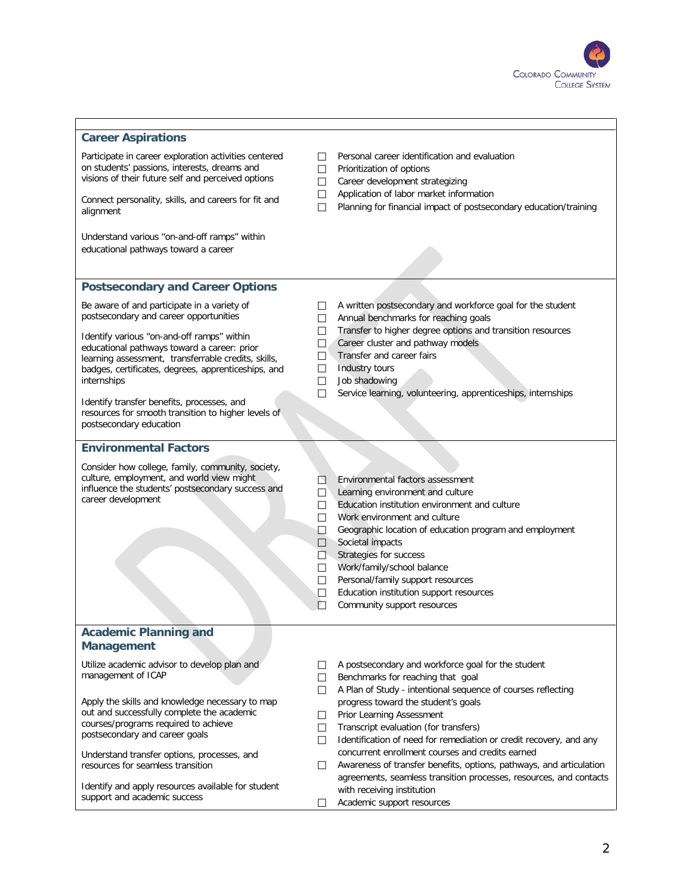

#### **Career Aspirations**

Participate in career exploration activities centered on students' passions, interests, dreams and visions of their future self and perceived options

Connect personality, skills, and careers for fit and alignment

Understand various "on-and-off ramps" within educational pathways toward a career

- $\Box$  Personal career identification and evaluation
- $\Box$  Prioritization of options
- Career development strategizing
- Application of labor market information
- $\Box$  Planning for financial impact of postsecondary education/training

### **Postsecondary and Career Options**

Be aware of and participate in a variety of postsecondary and career opportunities

Identify various "on-and-off ramps" within educational pathways toward a career: prior learning assessment, transferrable credits, skills, badges, certificates, degrees, apprenticeships, and internships

Identify transfer benefits, processes, and resources for smooth transition to higher levels of postsecondary education

- □ A written postsecondary and workforce goal for the student
- Annual benchmarks for reaching goals
- Transfer to higher degree options and transition resources
- Career cluster and pathway models
- Transfer and career fairs
- $\Box$  Industry tours
- **Job shadowing**
- $\Box$  Service learning, volunteering, apprenticeships, internships

#### **Environmental Factors**

Consider how college, family, community, society, culture, employment, and world view might influence the students' postsecondary success and career development

- Environmental factors assessment
- $\Box$  Learning environment and culture
- Education institution environment and culture
- □ Work environment and culture
- Geographic location of education program and employment
- $\Box$  Societal impacts
- Strategies for success
- □ Work/family/school balance
- □ Personal/family support resources
- Education institution support resources
- $\Box$  Community support resources

#### **Academic Planning and Management**

Utilize academic advisor to develop plan and management of ICAP

Apply the skills and knowledge necessary to map out and successfully complete the academic courses/programs required to achieve postsecondary and career goals

Understand transfer options, processes, and resources for seamless transition

Identify and apply resources available for student support and academic success

- $\Box$  A postsecondary and workforce goal for the student
- $\Box$  Benchmarks for reaching that goal
- $\Box$  A Plan of Study intentional sequence of courses reflecting progress toward the student's goals
- Prior Learning Assessment
- $\Box$  Transcript evaluation (for transfers)
- $\Box$  Identification of need for remediation or credit recovery, and any concurrent enrollment courses and credits earned
- Awareness of transfer benefits, options, pathways, and articulation agreements, seamless transition processes, resources, and contacts with receiving institution
- □ Academic support resources